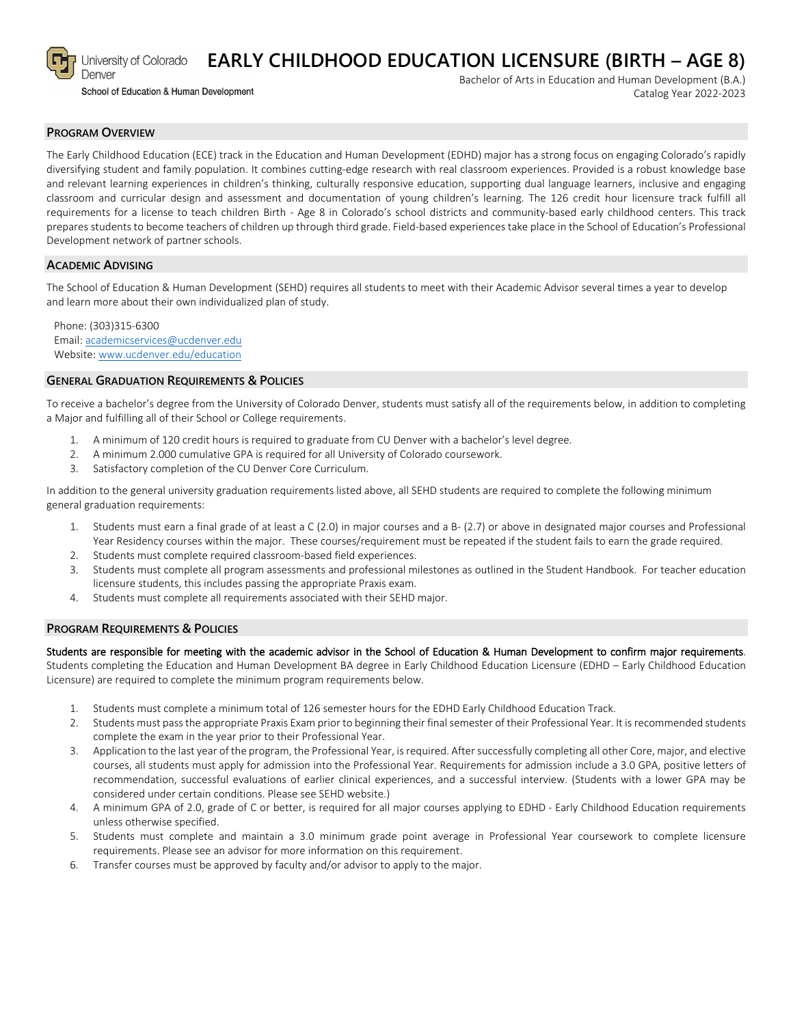

School of Education & Human Development

Bachelor of Arts in Education and Human Development (B.A.) Catalog Year 2022-2023

### **PROGRAM OVERVIEW**

The Early Childhood Education (ECE) track in the Education and Human Development (EDHD) major has a strong focus on engaging Colorado's rapidly diversifying student and family population. It combines cutting-edge research with real classroom experiences. Provided is a robust knowledge base and relevant learning experiences in children's thinking, culturally responsive education, supporting dual language learners, inclusive and engaging classroom and curricular design and assessment and documentation of young children's learning. The 126 credit hour licensure track fulfill all requirements for a license to teach children Birth - Age 8 in Colorado's school districts and community-based early childhood centers. This track prepares students to become teachers of children up through third grade. Field-based experiences take place in the School of Education's Professional Development network of partner schools.

**EARLY CHILDHOOD EDUCATION LICENSURE (BIRTH – AGE 8)**

### **ACADEMIC ADVISING**

The School of Education & Human Development (SEHD) requires all students to meet with their Academic Advisor several times a year to develop and learn more about their own individualized plan of study.

Phone: (303)315-6300 Email: [academicservices@ucdenver.edu](mailto:academicservices@ucdenver.edu) Website[: www.ucdenver.edu/education](http://www.ucdenver.edu/education)

#### **GENERAL GRADUATION REQUIREMENTS & POLICIES**

To receive a bachelor's degree from the University of Colorado Denver, students must satisfy all of the requirements below, in addition to completing a Major and fulfilling all of their School or College requirements.

- 1. A minimum of 120 credit hours is required to graduate from CU Denver with a bachelor's level degree.
- 2. A minimum 2.000 cumulative GPA is required for all University of Colorado coursework.
- 3. Satisfactory completion of the CU Denver Core Curriculum.

In addition to the general university graduation requirements listed above, all SEHD students are required to complete the following minimum general graduation requirements:

- 1. Students must earn a final grade of at least a C (2.0) in major courses and a B- (2.7) or above in designated major courses and Professional Year Residency courses within the major. These courses/requirement must be repeated if the student fails to earn the grade required.
- 2. Students must complete required classroom-based field experiences.
- 3. Students must complete all program assessments and professional milestones as outlined in the Student Handbook. For teacher education licensure students, this includes passing the appropriate Praxis exam.
- 4. Students must complete all requirements associated with their SEHD major.

#### **PROGRAM REQUIREMENTS & POLICIES**

#### Students are responsible for meeting with the academic advisor in the School of Education & Human Development to confirm major requirements.

Students completing the Education and Human Development BA degree in Early Childhood Education Licensure (EDHD – Early Childhood Education Licensure) are required to complete the minimum program requirements below.

- 1. Students must complete a minimum total of 126 semester hours for the EDHD Early Childhood Education Track.
- 2. Students must pass the appropriate Praxis Exam prior to beginning their final semester of their Professional Year. It is recommended students complete the exam in the year prior to their Professional Year.
- 3. Application to the last year of the program, the Professional Year, is required. After successfully completing all other Core, major, and elective courses, all students must apply for admission into the Professional Year. Requirements for admission include a 3.0 GPA, positive letters of recommendation, successful evaluations of earlier clinical experiences, and a successful interview. (Students with a lower GPA may be considered under certain conditions. Please see SEHD website.)
- 4. A minimum GPA of 2.0, grade of C or better, is required for all major courses applying to EDHD Early Childhood Education requirements unless otherwise specified.
- 5. Students must complete and maintain a 3.0 minimum grade point average in Professional Year coursework to complete licensure requirements. Please see an advisor for more information on this requirement.
- 6. Transfer courses must be approved by faculty and/or advisor to apply to the major.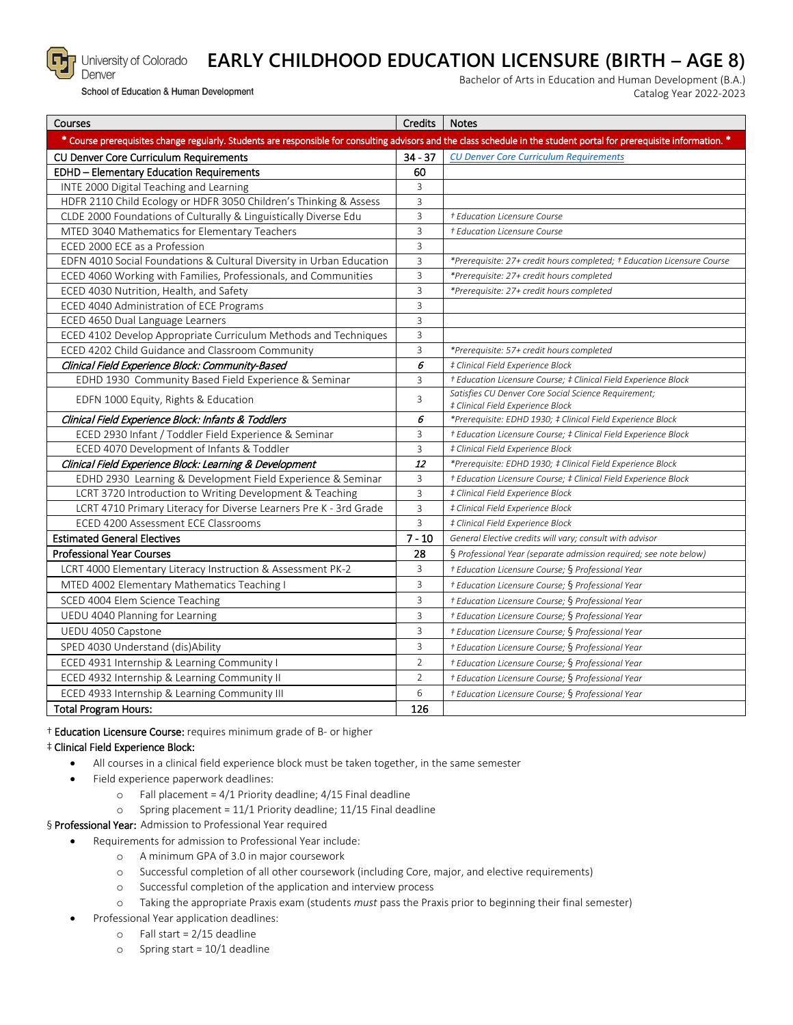

# **EARLY CHILDHOOD EDUCATION LICENSURE (BIRTH – AGE 8)**

School of Education & Human Development

University of Colorado

Bachelor of Arts in Education and Human Development (B.A.) Catalog Year 2022-2023

| Courses                                                                                                                                                                | Credits        | <b>Notes</b>                                                                              |
|------------------------------------------------------------------------------------------------------------------------------------------------------------------------|----------------|-------------------------------------------------------------------------------------------|
| * Course prerequisites change regularly. Students are responsible for consulting advisors and the class schedule in the student portal for prerequisite information. * |                |                                                                                           |
| CU Denver Core Curriculum Requirements                                                                                                                                 | $34 - 37$      | <b>CU Denver Core Curriculum Requirements</b>                                             |
| <b>EDHD - Elementary Education Requirements</b>                                                                                                                        | 60             |                                                                                           |
| INTE 2000 Digital Teaching and Learning                                                                                                                                | 3              |                                                                                           |
| HDFR 2110 Child Ecology or HDFR 3050 Children's Thinking & Assess                                                                                                      | 3              |                                                                                           |
| CLDE 2000 Foundations of Culturally & Linguistically Diverse Edu                                                                                                       | 3              | † Education Licensure Course                                                              |
| MTED 3040 Mathematics for Elementary Teachers                                                                                                                          | 3              | † Education Licensure Course                                                              |
| ECED 2000 ECE as a Profession                                                                                                                                          | 3              |                                                                                           |
| EDFN 4010 Social Foundations & Cultural Diversity in Urban Education                                                                                                   | 3              | *Prerequisite: 27+ credit hours completed; † Education Licensure Course                   |
| ECED 4060 Working with Families, Professionals, and Communities                                                                                                        | 3              | *Prerequisite: 27+ credit hours completed                                                 |
| ECED 4030 Nutrition, Health, and Safety                                                                                                                                | 3              | *Prerequisite: 27+ credit hours completed                                                 |
| ECED 4040 Administration of ECE Programs                                                                                                                               | 3              |                                                                                           |
| ECED 4650 Dual Language Learners                                                                                                                                       | $\overline{3}$ |                                                                                           |
| ECED 4102 Develop Appropriate Curriculum Methods and Techniques                                                                                                        | 3              |                                                                                           |
| ECED 4202 Child Guidance and Classroom Community                                                                                                                       | 3              | *Prerequisite: 57+ credit hours completed                                                 |
| Clinical Field Experience Block: Community-Based                                                                                                                       | 6              | # Clinical Field Experience Block                                                         |
| EDHD 1930 Community Based Field Experience & Seminar                                                                                                                   | 3              | † Education Licensure Course; ‡ Clinical Field Experience Block                           |
| EDFN 1000 Equity, Rights & Education                                                                                                                                   | 3              | Satisfies CU Denver Core Social Science Requirement;<br># Clinical Field Experience Block |
| Clinical Field Experience Block: Infants & Toddlers                                                                                                                    | 6              | *Prerequisite: EDHD 1930; ‡ Clinical Field Experience Block                               |
| ECED 2930 Infant / Toddler Field Experience & Seminar                                                                                                                  | 3              | + Education Licensure Course; # Clinical Field Experience Block                           |
| ECED 4070 Development of Infants & Toddler                                                                                                                             | 3              | # Clinical Field Experience Block                                                         |
| Clinical Field Experience Block: Learning & Development                                                                                                                | 12             | *Prerequisite: EDHD 1930; # Clinical Field Experience Block                               |
| EDHD 2930 Learning & Development Field Experience & Seminar                                                                                                            | 3              | † Education Licensure Course; ‡ Clinical Field Experience Block                           |
| LCRT 3720 Introduction to Writing Development & Teaching                                                                                                               | 3              | # Clinical Field Experience Block                                                         |
| LCRT 4710 Primary Literacy for Diverse Learners Pre K - 3rd Grade                                                                                                      | 3              | # Clinical Field Experience Block                                                         |
| ECED 4200 Assessment ECE Classrooms                                                                                                                                    | 3              | # Clinical Field Experience Block                                                         |
| <b>Estimated General Electives</b>                                                                                                                                     | $7 - 10$       | General Elective credits will vary; consult with advisor                                  |
| <b>Professional Year Courses</b>                                                                                                                                       | 28             | § Professional Year (separate admission required; see note below)                         |
| LCRT 4000 Elementary Literacy Instruction & Assessment PK-2                                                                                                            | 3              | + Education Licensure Course; § Professional Year                                         |
| MTED 4002 Elementary Mathematics Teaching I                                                                                                                            | 3              | + Education Licensure Course; § Professional Year                                         |
| SCED 4004 Elem Science Teaching                                                                                                                                        | 3              | + Education Licensure Course; § Professional Year                                         |
| UEDU 4040 Planning for Learning                                                                                                                                        | 3              | + Education Licensure Course; § Professional Year                                         |
| UEDU 4050 Capstone                                                                                                                                                     | 3              | + Education Licensure Course; § Professional Year                                         |
| SPED 4030 Understand (dis)Ability                                                                                                                                      | 3              | + Education Licensure Course; § Professional Year                                         |
| ECED 4931 Internship & Learning Community I                                                                                                                            | 2              | + Education Licensure Course; § Professional Year                                         |
| ECED 4932 Internship & Learning Community II                                                                                                                           | $\overline{2}$ | † Education Licensure Course; § Professional Year                                         |
| ECED 4933 Internship & Learning Community III                                                                                                                          | 6              | + Education Licensure Course; § Professional Year                                         |
| <b>Total Program Hours:</b>                                                                                                                                            | 126            |                                                                                           |

† Education Licensure Course: requires minimum grade of B- or higher

## ‡ Clinical Field Experience Block:

- All courses in a clinical field experience block must be taken together, in the same semester
- Field experience paperwork deadlines:
	- $\circ$  Fall placement = 4/1 Priority deadline; 4/15 Final deadline
	- o Spring placement =  $11/1$  Priority deadline;  $11/15$  Final deadline
- § Professional Year: Admission to Professional Year required
	- Requirements for admission to Professional Year include:
		- o A minimum GPA of 3.0 in major coursework
		- o Successful completion of all other coursework (including Core, major, and elective requirements)
		- o Successful completion of the application and interview process
		- o Taking the appropriate Praxis exam (students *must* pass the Praxis prior to beginning their final semester)
		- Professional Year application deadlines:
			- o Fall start = 2/15 deadline
			- $\circ$  Spring start = 10/1 deadline